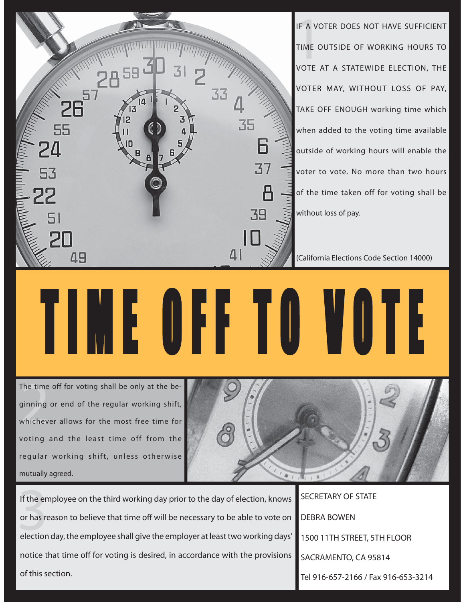

TIME OFF TO VOTE I M E O F F T O V O T E

IF A VOTER DOES NOT HAVE SUFFICIENT TIME OUTSIDE OF WORKING HOURS TO VOTE AT A STATEWIDE ELECTION, THE VOTER MAY, WITHOUT LOSS OF PAY, TAKE OFF ENOUGH working time which when added to the voting time available outside of working hours will enable the voter to vote. No more than two hours of the time taken off for voting shall be without loss of pay.

(California Elections Code Section 14000)

The time<br>ginning<br>whichev The time off for voting shall be only at the beginning or end of the regular working shift, whichever allows for the most free time for voting and the least time off from the regular working shift, unless otherwise mutually agreed.



If the en<br>or has re<br>election If the employee on the third working day prior to the day of election, knows or has reason to believe that time off will be necessary to be able to vote on election day, the employee shall give the employer at least two working days' notice that time off for voting is desired, in accordance with the provisions of this section.

SECRETARY OF STATE DEBRA BOWEN 1500 11TH STREET, 5TH FLOOR SACRAMENTO, CA 95814 Tel 916-657-2166 / Fax 916-653-3214